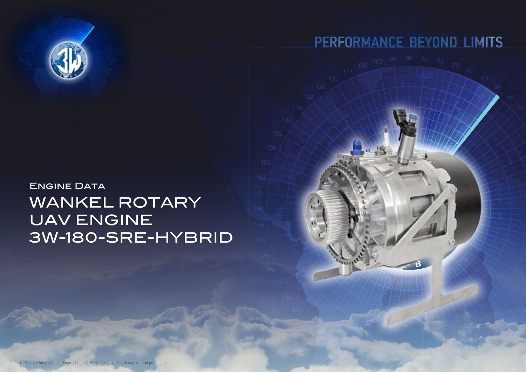## **ENGINE DATA** WANKEL ROTARY UAV ENGINE 3W-180-SRE-HYBRID



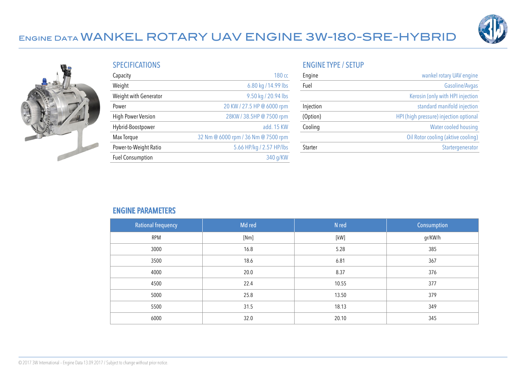



|  | <b>SPECIFICATIONS</b> |  |
|--|-----------------------|--|
|  |                       |  |

| Capacity                  | 180 <sub>cc</sub>                   |
|---------------------------|-------------------------------------|
| Weight                    | 6.80 kg / 14.99 lbs                 |
| Weight with Generator     | 9.50 kg / 20.94 lbs                 |
| Power                     | 20 KW / 27.5 HP @ 6000 rpm          |
| <b>High Power Version</b> | 28KW / 38.5HP @ 7500 rpm            |
| Hybrid-Boostpower         | add. 15 KW                          |
| Max Torque                | 32 Nm @ 6000 rpm / 36 Nm @ 7500 rpm |
| Power-to-Weight Ratio     | 5.66 HP/kg / 2.57 HP/lbs            |
| <b>Fuel Consumption</b>   | 340 g/KW                            |

#### ENGINE TYPE / SETUP

| Engine    | wankel rotary UAV engine               |
|-----------|----------------------------------------|
| Fuel      | Gasoline/Avgas                         |
|           | Kerosin (only with HPI injection       |
| Injection | standard manifold injection            |
| (Option)  | HPI (high pressure) injection optional |
| Cooling   | Water cooled housing                   |
|           | Oil Rotor cooling (aktive cooling)     |
| Starter   | Startergenerator                       |

#### ENGINE PARAMETERS

| <b>Rational frequency</b> | Md red | N red  | Consumption |
|---------------------------|--------|--------|-------------|
| <b>RPM</b>                | [Nm]   | $[kW]$ | gr/KW/h     |
| 3000                      | 16.8   | 5.28   | 385         |
| 3500                      | 18.6   | 6.81   | 367         |
| 4000                      | 20.0   | 8.37   | 376         |
| 4500                      | 22.4   | 10.55  | 377         |
| 5000                      | 25.8   | 13.50  | 379         |
| 5500                      | 31.5   | 18.13  | 349         |
| 6000                      | 32.0   | 20.10  | 345         |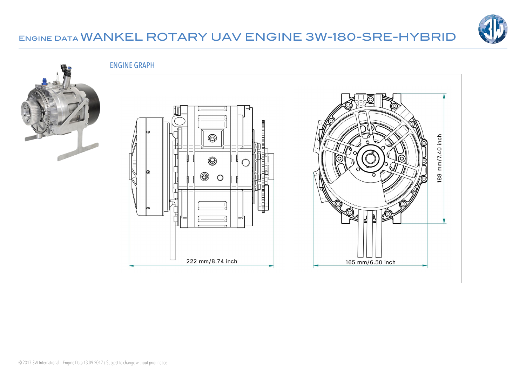

ENGINE GRAPH